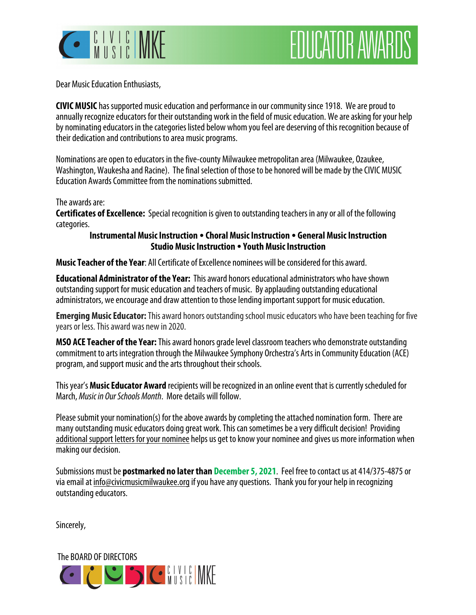

# **EDUCATOR AWARDS**

Dear Music Education Enthusiasts,

**CIVIC MUSIC** has supported music education and performance in our community since 1918. We are proud to annually recognize educators for their outstanding work in the field of music education. We are asking for your help by nominating educators in the categories listed below whom you feel are deserving of this recognition because of their dedication and contributions to area music programs.

Nominations are open to educators in the five-county Milwaukee metropolitan area (Milwaukee, Ozaukee, Washington, Waukesha and Racine). The final selection of those to be honored will be made by the CIVIC MUSIC Education Awards Committee from the nominations submitted.

#### The awards are:

**Certificates of Excellence:** Special recognition is given to outstanding teachers in any or all of the following categories.

### **Instrumental Music Instruction Choral Music Instruction General Music Instruction Studio Music Instruction Youth Music Instruction**

**Music Teacher of the Year**: All Certificate of Excellence nominees will be considered for this award.

**Educational Administrator of the Year:** This award honors educational administrators who have shown outstanding support for music education and teachers of music. By applauding outstanding educational administrators, we encourage and draw attention to those lending important support for music education.

**Emerging Music Educator:** This award honors outstanding school music educators who have been teaching for five years or less. This award was new in 2020.

**MSO ACE Teacher of the Year:** This award honors grade level classroom teachers who demonstrate outstanding commitment to arts integration through the Milwaukee Symphony Orchestra's Arts in Community Education (ACE) program, and support music and the arts throughout their schools.

This year's **Music Educator Award** recipients will be recognized in an online event that is currently scheduled for March, Music in Our Schools Month. More details will follow.

Please submit your nomination(s) for the above awards by completing the attached nomination form. There are many outstanding music educators doing great work. This can sometimes be a very difficult decision! Providing additional support letters for your nominee helps us get to know your nominee and gives us more information when making our decision.

Submissions must be **postmarked no later than December 5, 2021**. Feel free to contact us at 414/375-4875 or via email at info@civicmusicmilwaukee.org if you have any questions. Thank you for your help in recognizing outstanding educators.

Sincerely,